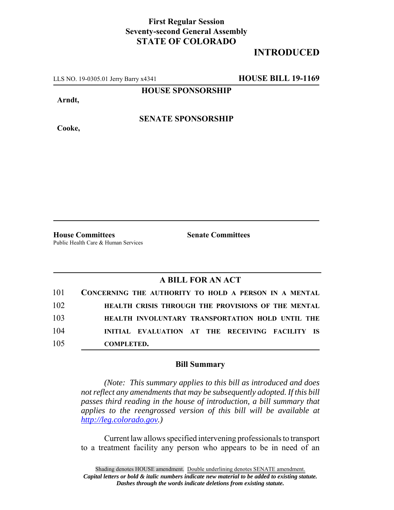## **First Regular Session Seventy-second General Assembly STATE OF COLORADO**

## **INTRODUCED**

LLS NO. 19-0305.01 Jerry Barry x4341 **HOUSE BILL 19-1169**

**HOUSE SPONSORSHIP**

**Arndt,**

**Cooke,**

**SENATE SPONSORSHIP**

Public Health Care & Human Services

**House Committees Senate Committees**

## **A BILL FOR AN ACT**

|     | 101 CONCERNING THE AUTHORITY TO HOLD A PERSON IN A MENTAL |
|-----|-----------------------------------------------------------|
| 102 | HEALTH CRISIS THROUGH THE PROVISIONS OF THE MENTAL        |
| 103 | HEALTH INVOLUNTARY TRANSPORTATION HOLD UNTIL THE          |
| 104 | INITIAL EVALUATION AT THE RECEIVING FACILITY IS           |
| 105 | <b>COMPLETED.</b>                                         |

## **Bill Summary**

*(Note: This summary applies to this bill as introduced and does not reflect any amendments that may be subsequently adopted. If this bill passes third reading in the house of introduction, a bill summary that applies to the reengrossed version of this bill will be available at http://leg.colorado.gov.)*

Current law allows specified intervening professionals to transport to a treatment facility any person who appears to be in need of an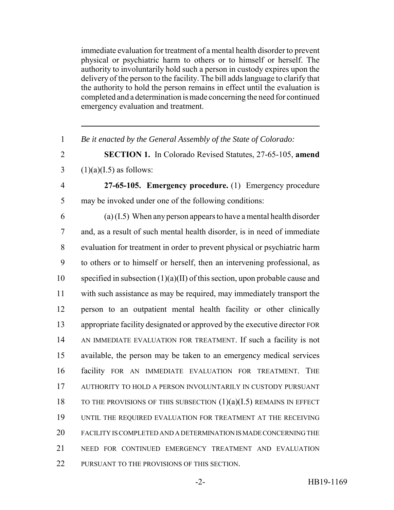immediate evaluation for treatment of a mental health disorder to prevent physical or psychiatric harm to others or to himself or herself. The authority to involuntarily hold such a person in custody expires upon the delivery of the person to the facility. The bill adds language to clarify that the authority to hold the person remains in effect until the evaluation is completed and a determination is made concerning the need for continued emergency evaluation and treatment.

1 *Be it enacted by the General Assembly of the State of Colorado:*

2 **SECTION 1.** In Colorado Revised Statutes, 27-65-105, **amend** 3  $(1)(a)(I.5)$  as follows:

- 4 **27-65-105. Emergency procedure.** (1) Emergency procedure 5 may be invoked under one of the following conditions:
- 

 $(1.5)$  When any person appears to have a mental health disorder and, as a result of such mental health disorder, is in need of immediate evaluation for treatment in order to prevent physical or psychiatric harm to others or to himself or herself, then an intervening professional, as 10 specified in subsection  $(1)(a)(II)$  of this section, upon probable cause and with such assistance as may be required, may immediately transport the person to an outpatient mental health facility or other clinically appropriate facility designated or approved by the executive director FOR AN IMMEDIATE EVALUATION FOR TREATMENT. If such a facility is not available, the person may be taken to an emergency medical services facility FOR AN IMMEDIATE EVALUATION FOR TREATMENT. THE AUTHORITY TO HOLD A PERSON INVOLUNTARILY IN CUSTODY PURSUANT 18 TO THE PROVISIONS OF THIS SUBSECTION  $(1)(a)(I.5)$  remains in Effect UNTIL THE REQUIRED EVALUATION FOR TREATMENT AT THE RECEIVING FACILITY IS COMPLETED AND A DETERMINATION IS MADE CONCERNING THE NEED FOR CONTINUED EMERGENCY TREATMENT AND EVALUATION PURSUANT TO THE PROVISIONS OF THIS SECTION.